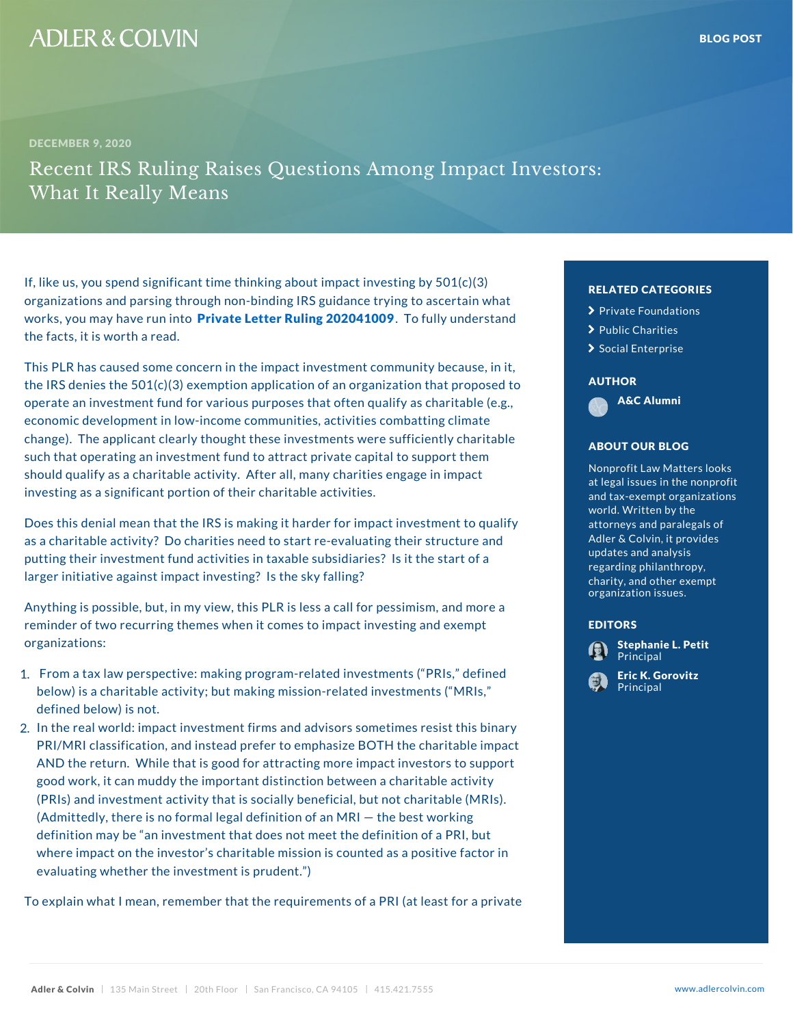## If, like us, you spend significant time thinking about im organizations and parsing through non-binding IRS guidance to ascertain what works, you may hane into into the otter Ruling 2020 . Aulo of anders the facts, it is worth a read.

This PLR has caused some concern in the impact investr the IRS denies the  $501(c)(3)$  exemption application of an operate an investment fund for various purposes that of economic development in low-income communities, activ change). The applicant clearly thought these investmen such that operating an investment fund to attract privat should qualify as a charitable activity. After all, many investing as a significant portion of their charitable act

Does this denial mean that the IRS is making it harder f as a charitable activity? Do charities need to start re- $\frac{1}{3}$ putting their investment fund activities in taxable subsi larger initiative against impact investing? Is the sky fa

Anything is possible, but, in my view, this PLR is less a reminder of two recurring themes when it comes to impa organizations:

- 1. From a tax law perspective: making program-related in below) is a charitable activity; but making mission-relation defined below) is not.
- 2.In the real world: impact investment firms and advisors PRI/MRI classification, and instead prefer to emphasiz AND the return. While that is good for attracting more good work, it can muddy the important distinction betw (PRIs) and investment activity that is socially benefici (Admittedly, there is no formal legal definition of an M definition may be an investment that does not meet th where impact on the investor s charitable mission is  $c \phi$ evaluating whether the investment is prudent. )

To explain what I mean, remember that the requirements of a PRI (at least for a private formal private for a

| RELATED CATEGORIE <sup>(C)</sup>                             |               |
|--------------------------------------------------------------|---------------|
| ≻<br>Private Foundations                                     | i n           |
| ≻<br>Public Charities                                        |               |
| Social Enterprise                                            |               |
|                                                              | s e           |
| AUTHOR                                                       | o p           |
| A&C Alumni                                                   | ble           |
|                                                              | hte           |
| ABOUT OUR BLOG                                               | h a           |
| Nonprofit Law Matters                                        | h e r         |
| at legal issues in the                                       | n p           |
| and tax–exempt organ                                         |               |
| world. Written by the<br>attorneys and paraleg <sup>to</sup> |               |
| Adler & Colvin, it protur                                    |               |
| updates and analysis                                         | r t           |
| regarding philanthrop<br>charity, and other $ex$             |               |
| organization issues.                                         |               |
|                                                              | аnс           |
| EDITORS                                                      | рt            |
| Stephanie L. Petit<br>Principal                              |               |
| ric K. Gorovitz                                              | le fi         |
| <u>P</u> rincipal                                            | l s           |
|                                                              |               |
|                                                              | S             |
|                                                              | Ť<br>э        |
|                                                              | βup           |
|                                                              | v i t         |
|                                                              | $($ $\Lambda$ |
|                                                              | bι            |
|                                                              | a c           |
|                                                              |               |
|                                                              |               |
|                                                              |               |